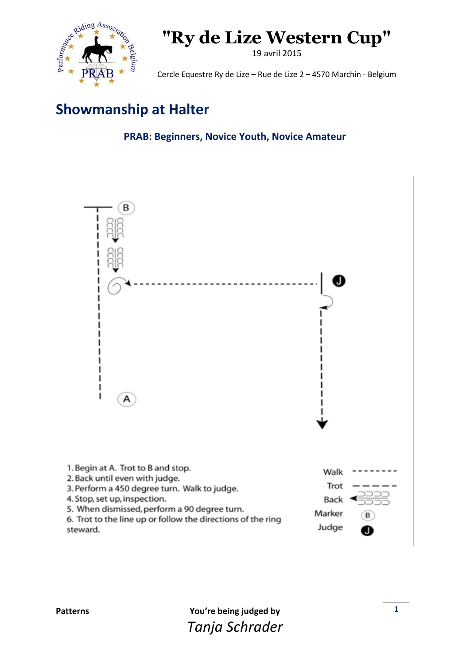

19 avril 2015

Cercle Equestre Ry de Lize – Rue de Lize 2 – 4570 Marchin - Belgium

### **Showmanship at Halter**

**PRAB: Beginners, Novice Youth, Novice Amateur**



5. When dismissed, perform a 90 degree turn.

6. Trot to the line up or follow the directions of the ring steward.

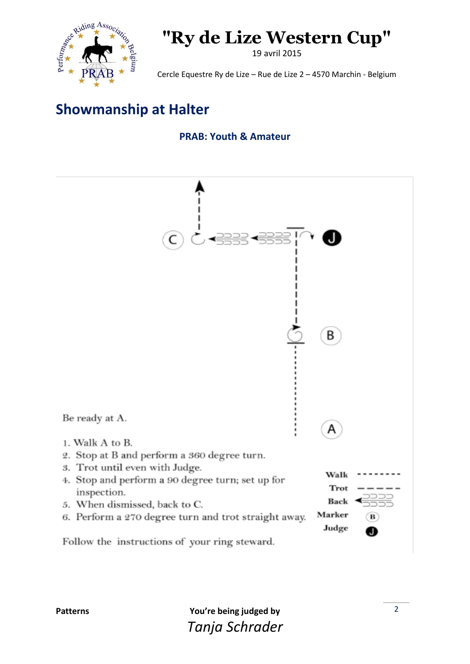

19 avril 2015

Cercle Equestre Ry de Lize – Rue de Lize 2 – 4570 Marchin - Belgium

### **Showmanship at Halter**

#### **PRAB: Youth & Amateur**



Follow the instructions of your ring steward.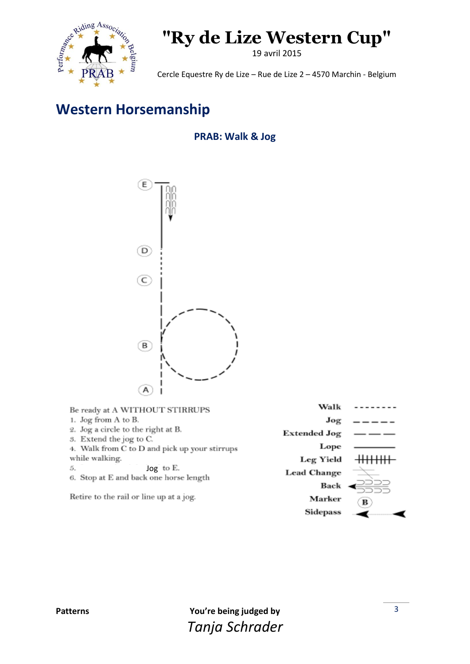

19 avril 2015

Cercle Equestre Ry de Lize – Rue de Lize 2 – 4570 Marchin - Belgium

### **Western Horsemanship**

### **PRAB: Walk & Jog**



| Be ready at A WITHOUT STIRRUPS                                | Walk                |           |
|---------------------------------------------------------------|---------------------|-----------|
| 1. Jog from A to B.                                           | Jog                 |           |
| 2. Jog a circle to the right at B.<br>5. Extend the jog to C. | <b>Extended Jog</b> |           |
| 4. Walk from C to D and pick up your stirrups                 | Lope                |           |
| while walking.                                                | <b>Leg Yield</b>    | +++++++++ |
| $\log$ to E.<br>5.<br>6. Stop at E and back one horse length  | <b>Lead Change</b>  |           |
|                                                               | Back                | 6555      |
| Retire to the rail or line up at a jog.                       | Marker              | в         |
|                                                               | <b>Sidepass</b>     |           |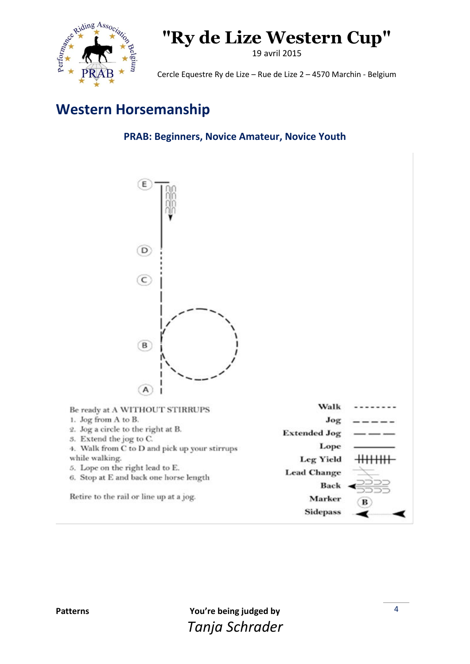

19 avril 2015

Cercle Equestre Ry de Lize – Rue de Lize 2 – 4570 Marchin - Belgium

### **Western Horsemanship**

**PRAB: Beginners, Novice Amateur, Novice Youth**



| Be ready at A WITHOUT STIRRUPS                                            | Walk                |   |
|---------------------------------------------------------------------------|---------------------|---|
| 1. Jog from A to B.                                                       | Jog                 |   |
| 2. Jog a circle to the right at B.<br>5. Extend the jog to C.             | <b>Extended Jog</b> |   |
| 4. Walk from C to D and pick up your stirrups                             | Lope                |   |
| while walking.                                                            | <b>Leg Yield</b>    |   |
| 5. Lope on the right lead to E.<br>6. Stop at E and back one horse length | <b>Lead Change</b>  |   |
|                                                                           | Back                |   |
| Retire to the rail or line up at a jog.                                   | Marker              | в |
|                                                                           | <b>Sidepass</b>     |   |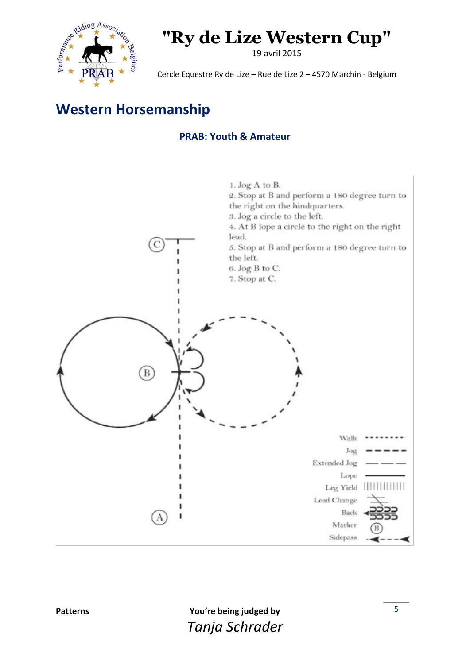

19 avril 2015

Cercle Equestre Ry de Lize – Rue de Lize 2 – 4570 Marchin - Belgium

### **Western Horsemanship**

#### **PRAB: Youth & Amateur**

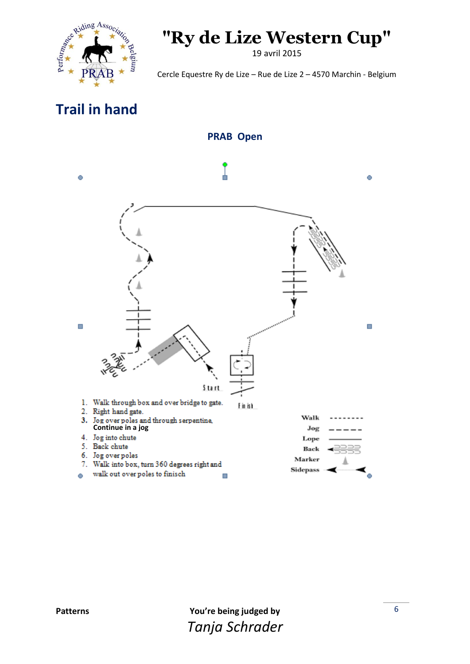

19 avril 2015

Cercle Equestre Ry de Lize – Rue de Lize 2 – 4570 Marchin - Belgium

### **Trail in hand**

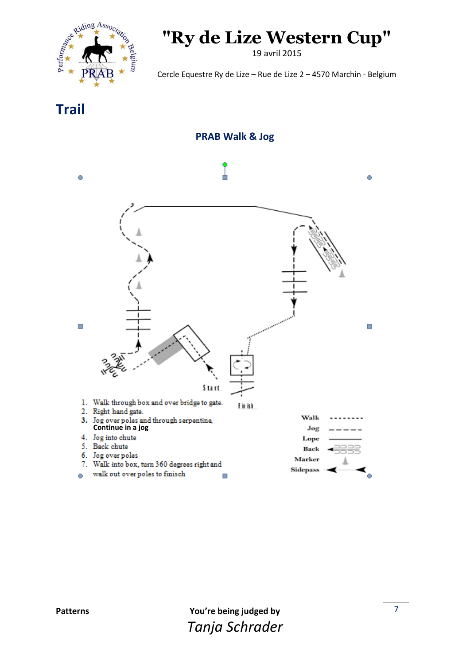

19 avril 2015

Cercle Equestre Ry de Lize – Rue de Lize 2 – 4570 Marchin - Belgium

**Trail**



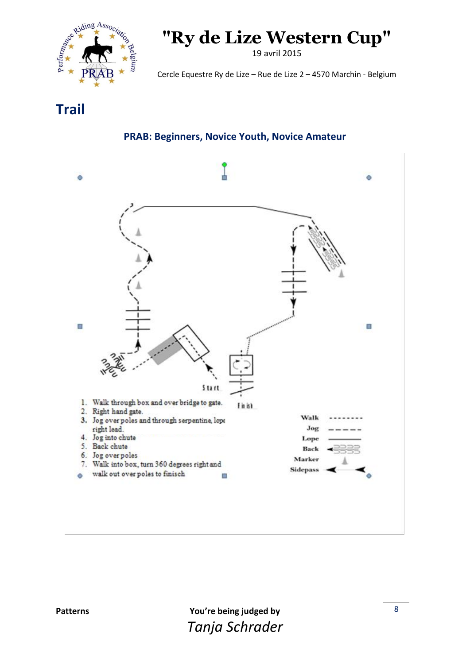

19 avril 2015

Cercle Equestre Ry de Lize – Rue de Lize 2 – 4570 Marchin - Belgium

**Trail**

#### **PRAB: Beginners, Novice Youth, Novice Amateur**

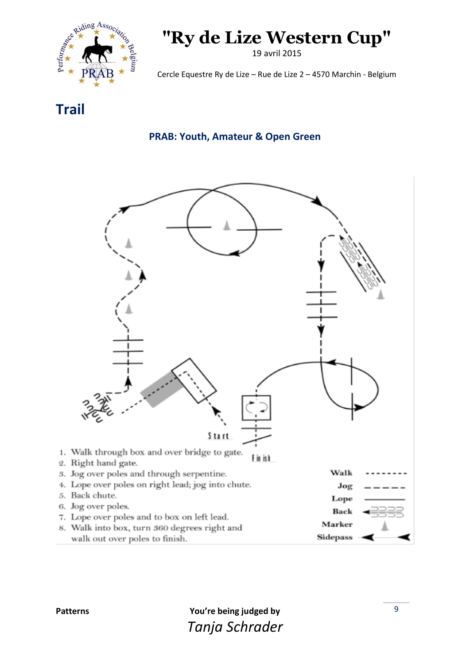

19 avril 2015

Cercle Equestre Ry de Lize – Rue de Lize 2 – 4570 Marchin - Belgium

**Trail**

#### **PRAB: Youth, Amateur & Open Green**



8. Walk into box, turn 360 degrees right and walk out over poles to finish.

**Sidepass**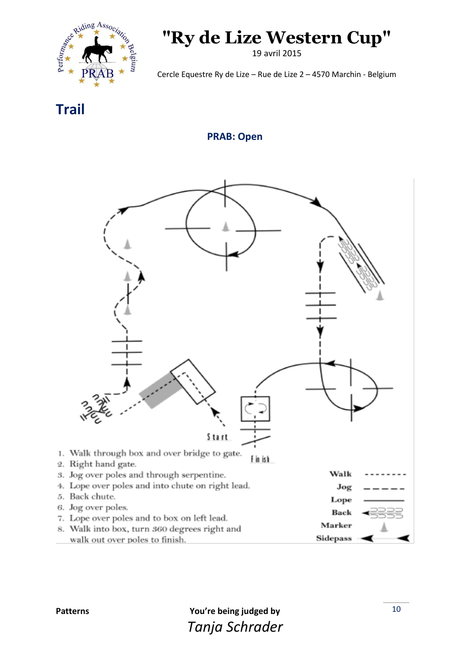

19 avril 2015

Cercle Equestre Ry de Lize – Rue de Lize 2 – 4570 Marchin - Belgium

**Trail**

**PRAB: Open**



8. Walk into box, turn 360 degrees right and walk out over poles to finish.

**Sidepass**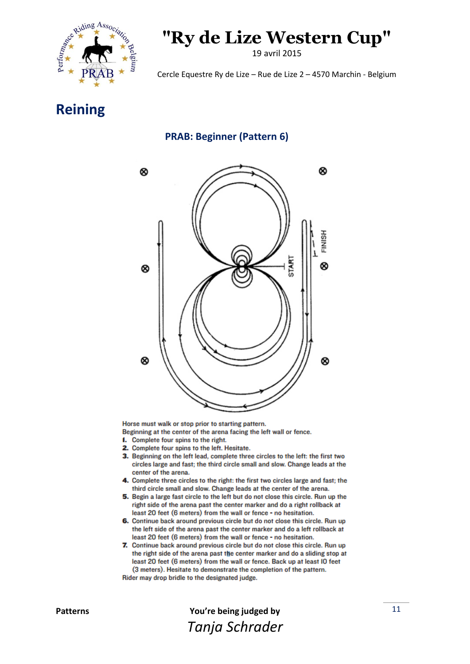

19 avril 2015

Cercle Equestre Ry de Lize – Rue de Lize 2 – 4570 Marchin - Belgium

### **Reining**

#### **PRAB: Beginner (Pattern 6)**



Horse must walk or stop prior to starting pattern.

Beginning at the center of the arena facing the left wall or fence.

- **1.** Complete four spins to the right.
- 2. Complete four spins to the left. Hesitate.
- 3. Beginning on the left lead, complete three circles to the left: the first two circles large and fast; the third circle small and slow. Change leads at the center of the arena.
- 4. Complete three circles to the right: the first two circles large and fast: the third circle small and slow. Change leads at the center of the arena.
- 5. Begin a large fast circle to the left but do not close this circle. Run up the right side of the arena past the center marker and do a right rollback at least 20 feet (6 meters) from the wall or fence - no hesitation.
- 6. Continue back around previous circle but do not close this circle. Run up the left side of the arena past the center marker and do a left rollback at least 20 feet (6 meters) from the wall or fence - no hesitation.
- 7. Continue back around previous circle but do not close this circle. Run up the right side of the arena past the center marker and do a sliding stop at least 20 feet (6 meters) from the wall or fence. Back up at least IO feet (3 meters). Hesitate to demonstrate the completion of the pattern.

Rider may drop bridle to the designated judge.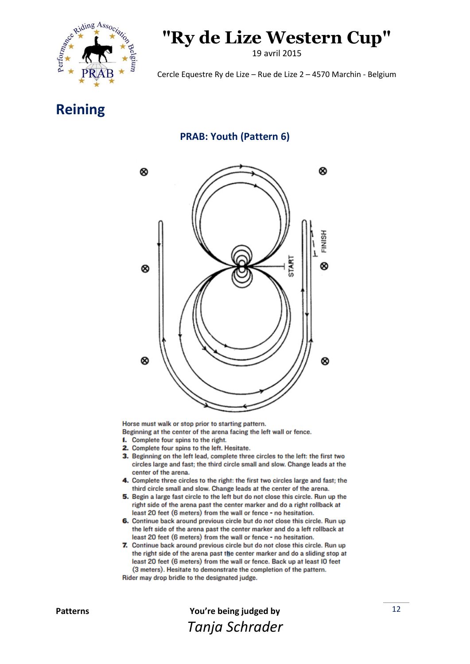

19 avril 2015

Cercle Equestre Ry de Lize – Rue de Lize 2 – 4570 Marchin - Belgium

### **Reining**

#### **PRAB: Youth (Pattern 6)**



Horse must walk or stop prior to starting pattern.

Beginning at the center of the arena facing the left wall or fence.

- **1.** Complete four spins to the right.
- 2. Complete four spins to the left. Hesitate.
- 3. Beginning on the left lead, complete three circles to the left: the first two circles large and fast; the third circle small and slow. Change leads at the center of the arena.
- 4. Complete three circles to the right: the first two circles large and fast: the third circle small and slow. Change leads at the center of the arena.
- 5. Begin a large fast circle to the left but do not close this circle. Run up the right side of the arena past the center marker and do a right rollback at least 20 feet (6 meters) from the wall or fence - no hesitation.
- 6. Continue back around previous circle but do not close this circle. Run up the left side of the arena past the center marker and do a left rollback at least 20 feet (6 meters) from the wall or fence - no hesitation.
- 7. Continue back around previous circle but do not close this circle. Run up the right side of the arena past the center marker and do a sliding stop at least 20 feet (6 meters) from the wall or fence. Back up at least IO feet (3 meters). Hesitate to demonstrate the completion of the pattern.

Rider may drop bridle to the designated judge.